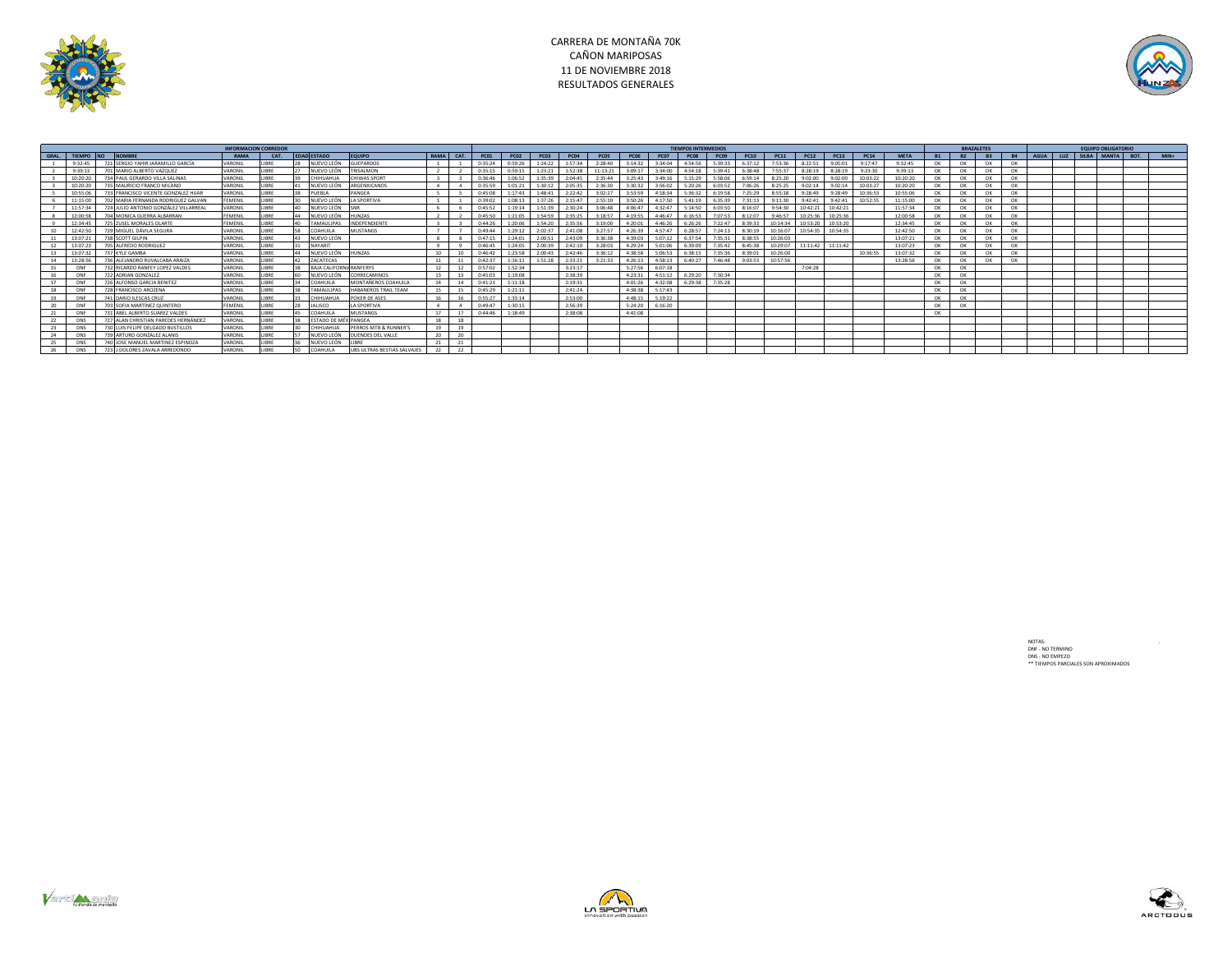



|    | <b>INFORMACION CORREDOR</b> |                                          |                |             |                 |                                 |                             |           |    |             |                     |             | <b>TIEMPOS INTERMEDIOS</b> |                  |             |                         |                                 |             |                 |          |                    |                     |                |             |           |                 | <b>BRAZALETES</b> |           |  |                           |  |        |
|----|-----------------------------|------------------------------------------|----------------|-------------|-----------------|---------------------------------|-----------------------------|-----------|----|-------------|---------------------|-------------|----------------------------|------------------|-------------|-------------------------|---------------------------------|-------------|-----------------|----------|--------------------|---------------------|----------------|-------------|-----------|-----------------|-------------------|-----------|--|---------------------------|--|--------|
|    |                             | <b>GRAL, TIEMPO NO NOMBRE</b>            | RAMA           | CAT.        |                 | <b>EDAD ESTADO</b>              | <b>EQUIPO</b>               | RAMA CAT. |    | PC01        | PC02                | <b>PC03</b> | <b>PC04</b>                | PCO <sub>5</sub> | <b>PC06</b> | <b>PC07</b>             | PC08                            | <b>PC09</b> | PC10            | PC11     | PC12               | PC13                | PC14           | <b>META</b> | <b>B1</b> | <b>R2</b>       | <b>B3</b>         | <b>B4</b> |  | AGUA LUZ SILBA MANTA BOT. |  | $MIN+$ |
|    | 9.32.45                     | 721 SERGIO YAHIR JARAMILLO GARCÍA        | <b>VARONII</b> | <b>IRDE</b> |                 | NUEVO LEÓN                      | <b>SUEPARDOS</b>            |           |    | 0.35.24     | 0.59.26             | 1:24:22     | 1:57:34                    | 2.28:40          | 3.14.37     | 3:34:04                 | 4.54.56                         | 5-39-33     | 6:37:12         | 7-53-36  | 8.22.51            | 9:05:01             | 9.17.47        | 9.32.45     | OK        | CH <sub>K</sub> | OK                | OK        |  |                           |  |        |
|    | 9.39.13                     | 701 MARIO ALBERTO VAZQUEZ                | VARONIL        | <b>IRPF</b> |                 | NUEVO LEÓN                      | <b>TRISALMON</b>            |           |    | 0.35.15     | 0:59:15             | 1:23:21     | 1:52:38                    | 11:13:21         | 3:09:17     | 3:34:00                 | 4:54:18                         | 5:39:41     | 6:38:48         | 7:55:37  | 8:28:19            | 8:28:19             | 9:23:30        | 9:39:13     | OK        | OK              | OK                | OK        |  |                           |  |        |
|    | 10:20:20                    | 734 PAUL GERARDO VILLA SALINAS           | VARONIL        | <b>IRRF</b> |                 | CHIHUAHUA                       | CHIWAS SPORT                |           |    | 0:36:46     | 1:06:52             | 1:35:39     | 2:04:45                    | 2:35:44          | 3:25:43     | 3:49:16                 | 5:15:29                         | 5:58:06     | 6:59:14         | 8:25:20  | 9:02:00            | 9:02:00             | 10:03:22       | 10:20:20    | OK        | OK              | OK                | OK        |  |                           |  |        |
|    | 10:20:20                    | 735 MAURICIO FRANCO MILANO               | VARONIL        | <b>IRDE</b> |                 | NUEVO LEÓN                      | ARGENXICANOS                |           |    | 0:35:59     | 1:01:21             | 1:30:12     | 2:05:35                    | 2:36:30          |             | 3:30:32 3:56:02         | 5:20:26                         | 6:03:52     | 7:06:26         | 8:25:25  | 9:02:14            | 9:02:14             | 10:03:27       | 10:20:20    | OK        | OK              | OK                | OK        |  |                           |  |        |
|    | 10:55:06                    | 733 FRANCISCO VICENTE GONZALEZ HIJAR     | VARONIL        |             |                 | PUEBLA                          | PANGEA                      |           |    | 0:45:08     | 1:17:43             | 1:48:41     | 2:22:42                    | 3:02:27          | 3:53:59     | 4:18:34                 | 5:36:32                         | 6:19:58     | 7:25:29         | 8:55:18  | 9:28:49            | 9:28:49             | 10:36:53       | 10:55:06    | OK        |                 | OK                | OK        |  |                           |  |        |
|    | 11.15:00                    | 702 MARIA FERNANDA RODRIGUEZ GALVAN      | <b>FFMFNII</b> |             | 30 <sub>1</sub> | NUEVO LEÓN                      | <b>I A SPORTIVA</b>         |           |    | $0.39 - 02$ | $1.08:13$ $1.37:26$ |             | 2.15:47                    | 2.55:10          | 3:50:26     | 4:17:50                 | 5:41:19                         | 6:35:39     | 7.31.13         | 9.11.30  | $9.47 - 41$        | 9.42.41             | $10 - 52 - 55$ | 11:15:00    | OK        |                 | OK                | OK        |  |                           |  |        |
|    | 11:57:34                    | 724 JULIO ANTONIO GONZÁLEZ VILLARREAL    | VARONIL        | <b>IRPF</b> | 40              | NUEVO LEÓN                      |                             |           |    | 0:45:52     | 1:19:14             | 1:51:39     | 2:30:24                    | 3:06:48          |             | 4:06:47 4:32:47         | 5:14:50                         | 6:03:50     | 8:16:07         | 9:54:30  | 10:42:21           | 10:42:21            |                | 11:57:34    | OK        | OK              | OK                | OK        |  |                           |  |        |
|    | 12:00:58                    | 704 MONICA GUERRA ALBARRAN               | <b>FEMENIL</b> | <b>IRDE</b> |                 | NUEVO LEÓN                      | <b>HUNZAS</b>               |           |    | 0:45:50     | 1:21:05             | 1:54:59     | 2:35:25                    | 3:18:57          |             | 4:19:55 4:46:47         | 6:16:53                         | 7:07:53     | 8:12:07         | 9:46:57  | 10:25:36           | 10:25:36            |                | 12:00:58    | OK        |                 | OK                | OK        |  |                           |  |        |
|    | 12:34:45                    | 725 ZUSEL MORALES OLARTE                 | <b>FEMENIL</b> | IDDE        |                 | <b>TAMAULIPAS</b>               | INDEPENDIENTE               |           |    | 0.44.26     | 1:20:06 1:54:20     |             | 2:35:56                    | 3:19:00          |             |                         | 4:20:01 4:46:26 6:26:26         |             | 7:22:47 8:39:33 | 10:14:34 | 10:53:20           | 10:53:20            |                | 12:34:45    | OK        | OK              | OK                | OK        |  |                           |  |        |
|    | 12:42:50                    | 729 MIGUEL DÁVILA SEGURA                 | VARONIL        |             |                 | <b>COAHUILA</b>                 | MUSTANGS                    |           |    | $0.49 - 44$ | 1:29:12 2:02:37     |             | 2:41:08                    | 3.27.57          |             |                         | 4:26:39 4:57:47 6:28:57         |             | 7:24:13 8:30:19 |          | 10:16:07  10:54:35 | 10:54:35            |                | 12:42:50    | OK        | OK              | OK                | OK        |  |                           |  |        |
|    | 13:07:21                    | 738 SCOTT GILPIN                         | VARONIL        |             |                 | NUEVO LEÓN                      |                             |           |    | 0.47.15     | 1:24:01 2:00:51     |             | 2.43.09                    | 3.36.38          |             |                         | $4:39:03$ 5:07:12 6:37:54       | 7.25.21     | 8.38.55         | 10:26:03 |                    |                     |                | 13:07:21    | n         |                 | ny                | OK        |  |                           |  |        |
|    | 13:07:23                    | 705 ALFREDO RODRIGUEZ                    | VARONIL        |             |                 | <b>NAYARIT</b>                  |                             |           |    | 0:46:45     | 1:24:05 2:00:39     |             | 2:42:10                    | 3:28:03          |             |                         | 4:29:24 5:01:06 6:39:09         |             | 7:35:42 8:45:38 | 10:29:07 |                    | $11:11:42$ 11:11:42 |                | 13:07:23    | OK        | OK              | OK                | OK        |  |                           |  |        |
| 13 | 13:07:32                    | 737 KYLE GAMBA                           | VARONIL        |             |                 | NUEVO LEÓN                      | <b>HUNZAS</b>               |           |    | $0.46 - 42$ | 1:23:58             | 2:00:43     | 2:42:46                    | 3.36.12          |             | 4:38:58 5:06:53 6:38:15 |                                 | 7:35:36     | 8:39:01         | 10:26:00 |                    |                     | 10:36:55       | 13:07:32    | OK        | OK              | OK                | OK        |  |                           |  |        |
| 14 | 13:28:56                    | 736 ALEJANDRO RUVALCABA ARAIZA           | VARONIL        |             |                 | <b>ZACATECAS</b>                |                             |           |    | 0:42:37     | $1:16:11$ 1:51:28   |             | 2:33:21                    | 3.21.33          |             |                         | 4:26:13 4:58:13 6:40:27         | 7:46:48     | 9:03:53         | 10:57:56 |                    |                     |                | 13:28:56    | OK        | OK              | OK                | OK        |  |                           |  |        |
| 15 | DNF                         | 732 RICARDO RANFEY LOPEZ VALDES          | VARONIL        | <b>IDDC</b> |                 | <b>BAIA CALIFORNIA RANEERYS</b> |                             |           | 12 | 0:57:02     | 1:52:34             |             | 3:23:17                    |                  |             | 5:27:56 6:07:18         |                                 |             |                 |          | 7:04:28            |                     |                |             | $\alpha$  | OK              |                   |           |  |                           |  |        |
| 1C | DAIR                        | 722 ADRIAN GONZALEZ                      | VARONIL        |             |                 | NUEVO LEÓN                      | CORRECAMINOS                | 12        |    | 0.45:03     | 1.19.08             |             | 2:38:39                    |                  |             |                         | 4:23:31 4:51:12 6:29:20         | 7:30:34     |                 |          |                    |                     |                |             | OK        |                 |                   |           |  |                           |  |        |
| 17 | DNF                         | 726 ALFONSO GARCIA BENITEZ               | VARONIL        |             |                 | <b>COAHUILA</b>                 | MONTAÑEROS COAHUIL/         | 14        | 14 | 0:41:21     | 1:11:18             |             | 2:19:31                    |                  |             |                         | 4:01:26 4:32:08 6:29:38 7:35:28 |             |                 |          |                    |                     |                |             | OK        | C <sub>1</sub>  |                   |           |  |                           |  |        |
| 18 | DNF                         | <b>728 FRANCISCO AROZENA</b>             | VARONIL        | <b>IRDE</b> |                 | <b>TAMALILIPAS</b>              | HARANFROS TRAIL TFAM        |           | 15 | 0:45:29     | 1:21:11             |             | 2.41.24                    |                  |             | $4.38.38$ 5:17:43       |                                 |             |                 |          |                    |                     |                |             | OK        | OK              |                   |           |  |                           |  |        |
| 19 | DNF                         | <b>741 DARIO ILESCAS CRUZ</b>            | VARONIL        | <b>IRDE</b> |                 | CHIHIJAHUA                      | POKER DE ASES               |           | 16 | 0:55:27     | 1:33:14             |             | 2:53:00                    |                  |             | 4:48:15   5:19:22       |                                 |             |                 |          |                    |                     |                |             | OK        | OK              |                   |           |  |                           |  |        |
| 20 | DNF                         | <b>703 SOFIA MARTÍNEZ OUINTERO</b>       | <b>FEMENIL</b> | <b>IRPF</b> | 78              | <b>LAUSCO</b>                   | <b>I A SPORTIVA</b>         |           |    | 0:49:47     | 1:30:15             |             | 2:56:39                    |                  |             | 5:24:20 6:16:20         |                                 |             |                 |          |                    |                     |                |             | OK        | OK              |                   |           |  |                           |  |        |
| 21 | DAIR                        | 731 AREL ALBERTO SUAREZ VALDES           | VARONIL        | <b>IRDE</b> |                 | COAHUILA                        | MUSTANGS                    |           | 17 | 0.44.46     | 1.18.49             |             | $2.38 - 0.8$               |                  | 4:41:08     |                         |                                 |             |                 |          |                    |                     |                |             | OK        |                 |                   |           |  |                           |  |        |
| 22 | <b>DNS</b>                  | 727 ALAN CHRISTIAN PAREDES HERNÁNDEZ     | VARONIL        | <b>IRPF</b> | 38              | ESTADO DE MÉX PANGEA            |                             | 18        | 18 |             |                     |             |                            |                  |             |                         |                                 |             |                 |          |                    |                     |                |             |           |                 |                   |           |  |                           |  |        |
| 23 | <b>DNS</b>                  | <b>730 LUIS FELIPE DELGADO BUSTILLOS</b> | VARONIL        | <b>IRPF</b> | $30 -$          | CHIHIJAHIJA                     | PERROS MTB & RUNNER'S       | 19        | 19 |             |                     |             |                            |                  |             |                         |                                 |             |                 |          |                    |                     |                |             |           |                 |                   |           |  |                           |  |        |
|    | <b>DNS</b>                  | 739 ARTURO GONZALEZ ALANIS               | VARONIL        | <b>IRPF</b> |                 | NUEVO LEÓN                      | <b>UENDES DEL VALLE</b>     |           | 20 |             |                     |             |                            |                  |             |                         |                                 |             |                 |          |                    |                     |                |             |           |                 |                   |           |  |                           |  |        |
| 25 | <b>DNS</b>                  | 740 JOSE MANUEL MARTINEZ ESPINOZA        | VARONIL        | <b>IRDE</b> |                 | NUEVO LEÓN                      |                             |           | 21 |             |                     |             |                            |                  |             |                         |                                 |             |                 |          |                    |                     |                |             |           |                 |                   |           |  |                           |  |        |
|    | DNS                         | 723 J.DOLORES ZAVALA ARREDONDO           | VARONII        | <b>IRRF</b> | 50              | <b>COAHUILA</b>                 | UBS ULTRAS BESTIAS SALVAJES |           | 22 |             |                     |             |                            |                  |             |                         |                                 |             |                 |          |                    |                     |                |             |           |                 |                   |           |  |                           |  |        |

NOTAS: .<br>DNF - NO TERMINO<br>DNS - NO EMPEZO<br>\*\* TIEMPOS PARCIALES SON APROXIMADOS





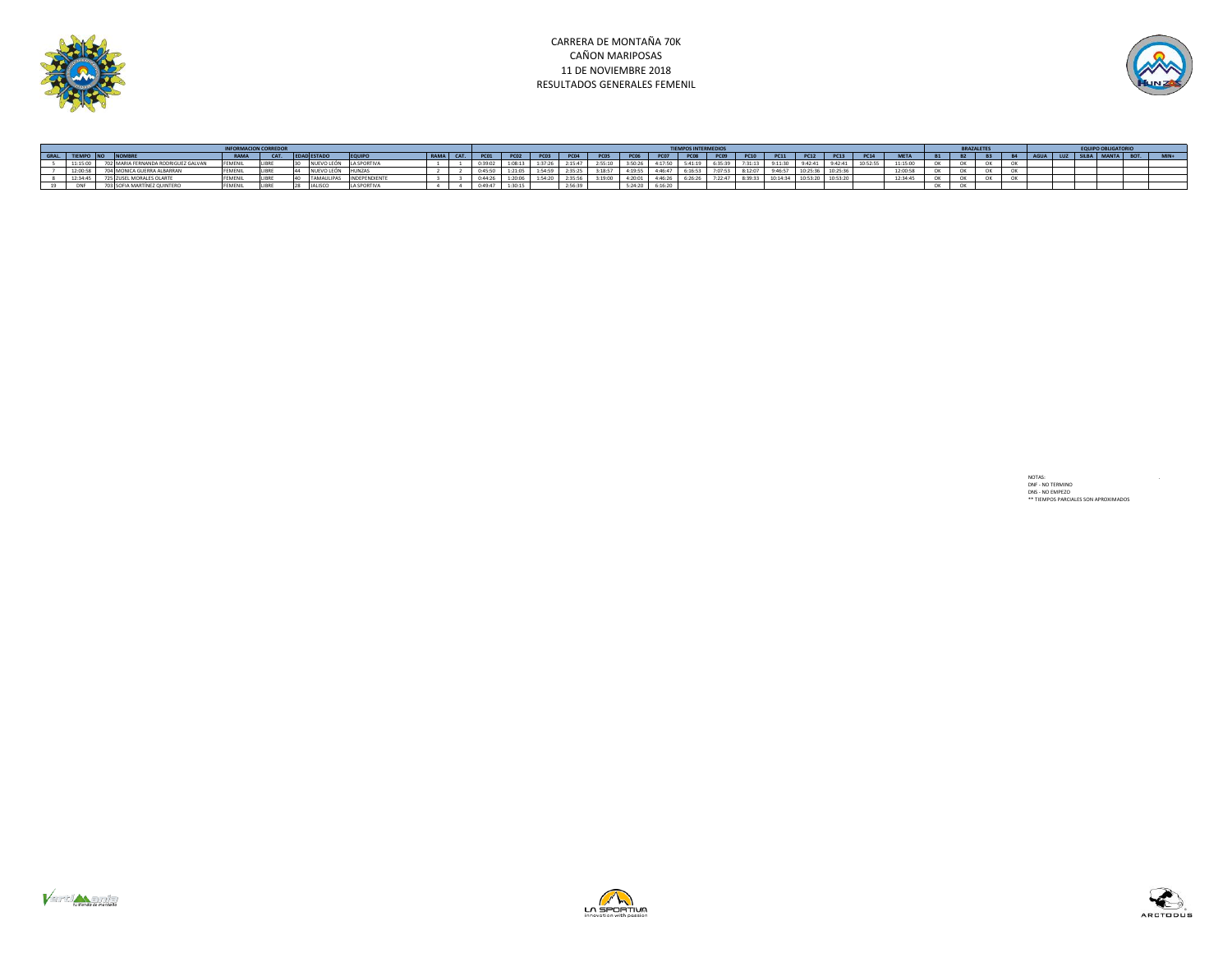

## CARRERA DE MONTAÑA 70K CAÑON MARIPOSAS 11 DE NOVIEMBRE 2018 RESULTADOS GENERALES FEMENIL



|      |            |                        | <b>TIEMPOS INTERMEDIO:</b> |              |                |                     |             |     |         |  |  |         |  |         |         |  | <b>BRAZALETE</b> |             |               |                   |          |  |                       |  |  |  |  |  |  |  |              |
|------|------------|------------------------|----------------------------|--------------|----------------|---------------------|-------------|-----|---------|--|--|---------|--|---------|---------|--|------------------|-------------|---------------|-------------------|----------|--|-----------------------|--|--|--|--|--|--|--|--------------|
| CRAL |            |                        | <b>PAMA</b>                | CAT          | ECTAD          |                     | <b>DAMA</b> | CAT |         |  |  |         |  |         |         |  | <b>PC09</b>      | <b>PC10</b> | <b>PC11</b>   | PC12              |          |  | <b>Administration</b> |  |  |  |  |  |  |  | <b>BAINA</b> |
|      | 11:15:00   |                        | <b>EFMEN</b>               | <b>IIRPI</b> |                |                     |             |     |         |  |  |         |  |         |         |  |                  | 7.31.13     | $9 - 11 - 30$ | $1.47 - 41$       |          |  |                       |  |  |  |  |  |  |  |              |
|      | 12:00:58   | <b>GUERRA ALBARRA</b>  | <b>FEMENI</b>              | <b>IIRP</b>  | .JEVO LF       |                     |             |     |         |  |  |         |  | 4:19:55 | . 0.0.0 |  | 7:07:53          | 8:12:07     | 9:46:57       | 10.25<br>10:25:36 | 40.35.36 |  | 12:00:51              |  |  |  |  |  |  |  |              |
|      | 12:34:45   | L MORALES OLARTE       | <b>FEMEN</b>               |              |                |                     |             |     |         |  |  |         |  |         | A:AC:   |  | 7:22:47          | 8.39.33     | 10:14:34      |                   | .        |  | 12:34:45              |  |  |  |  |  |  |  |              |
|      | <b>DNE</b> | OFIA MARTÍNEZ QUINTERO | <b>FFMFNI</b>              |              | <b>IALISCO</b> | <b>I A SPORTIVA</b> |             |     | 0.40.47 |  |  | 2:56:39 |  | 5:24:20 | 6:16:20 |  |                  |             |               |                   |          |  |                       |  |  |  |  |  |  |  |              |

NOTAS: .<br>DNF - NO TERMINO<br>DNS - NO EMPEZO<br>\*\* TIEMPOS PARCIALES SON APROXIMADOS